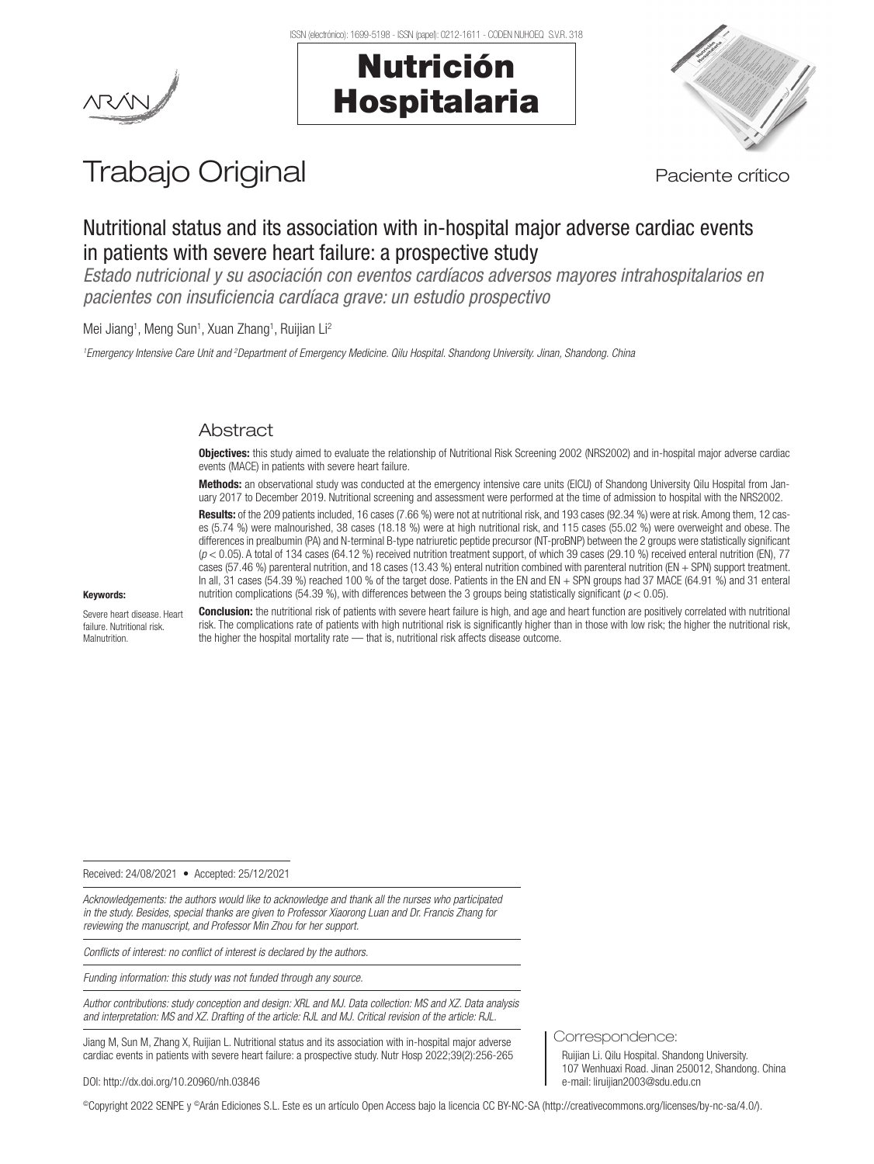

# Nutrición Hospitalaria



# Trabajo Original en el provincio de Paciente crítico

# Nutritional status and its association with in-hospital major adverse cardiac events in patients with severe heart failure: a prospective study

*Estado nutricional y su asociación con eventos cardíacos adversos mayores intrahospitalarios en pacientes con insuficiencia cardíaca grave: un estudio prospectivo*

Mei Jiang<sup>1</sup>, Meng Sun<sup>1</sup>, Xuan Zhang<sup>1</sup>, Ruijian Li<sup>2</sup>

*1 Emergency Intensive Care Unit and 2 Department of Emergency Medicine. Qilu Hospital. Shandong University. Jinan, Shandong. China*

# Abstract

Objectives: this study aimed to evaluate the relationship of Nutritional Risk Screening 2002 (NRS2002) and in-hospital major adverse cardiac events (MACE) in patients with severe heart failure.

Methods: an observational study was conducted at the emergency intensive care units (EICU) of Shandong University Qilu Hospital from January 2017 to December 2019. Nutritional screening and assessment were performed at the time of admission to hospital with the NRS2002.

Results: of the 209 patients included, 16 cases (7.66 %) were not at nutritional risk, and 193 cases (92.34 %) were at risk. Among them, 12 cases (5.74 %) were malnourished, 38 cases (18.18 %) were at high nutritional risk, and 115 cases (55.02 %) were overweight and obese. The differences in prealbumin (PA) and N-terminal B-type natriuretic peptide precursor (NT-proBNP) between the 2 groups were statistically significant (*p* < 0.05). A total of 134 cases (64.12 %) received nutrition treatment support, of which 39 cases (29.10 %) received enteral nutrition (EN), 77 cases (57.46 %) parenteral nutrition, and 18 cases (13.43 %) enteral nutrition combined with parenteral nutrition (EN + SPN) support treatment. In all, 31 cases (54.39 %) reached 100 % of the target dose. Patients in the EN and EN + SPN groups had 37 MACE (64.91 %) and 31 enteral nutrition complications (54.39 %), with differences between the 3 groups being statistically significant (*p* < 0.05).

#### Keywords:

Severe heart disease. Heart failure. Nutritional risk. **Malnutrition** 

Conclusion: the nutritional risk of patients with severe heart failure is high, and age and heart function are positively correlated with nutritional risk. The complications rate of patients with high nutritional risk is significantly higher than in those with low risk; the higher the nutritional risk, the higher the hospital mortality rate — that is, nutritional risk affects disease outcome.

Received: 24/08/2021 • Accepted: 25/12/2021

*Acknowledgements: the authors would like to acknowledge and thank all the nurses who participated in the study. Besides, special thanks are given to Professor Xiaorong Luan and Dr. Francis Zhang for reviewing the manuscript, and Professor Min Zhou for her support.*

*Conflicts of interest: no conflict of interest is declared by the authors.*

*Funding information: this study was not funded through any source.*

*Author contributions: study conception and design: XRL and MJ. Data collection: MS and XZ. Data analysis and interpretation: MS and XZ. Drafting of the article: RJL and MJ. Critical revision of the article: RJL.*

Jiang M, Sun M, Zhang X, Ruijian L. Nutritional status and its association with in-hospital major adverse cardiac events in patients with severe heart failure: a prospective study. Nutr Hosp 2022;39(2):256-265

DOI: http://dx.doi.org/10.20960/nh.03846

©Copyright 2022 SENPE y ©Arán Ediciones S.L. Este es un artículo Open Access bajo la licencia CC BY-NC-SA (http://creativecommons.org/licenses/by-nc-sa/4.0/).

Correspondence:

Ruijian Li. Qilu Hospital. Shandong University. 107 Wenhuaxi Road. Jinan 250012, Shandong. China e-mail: liruijian2003@sdu.edu.cn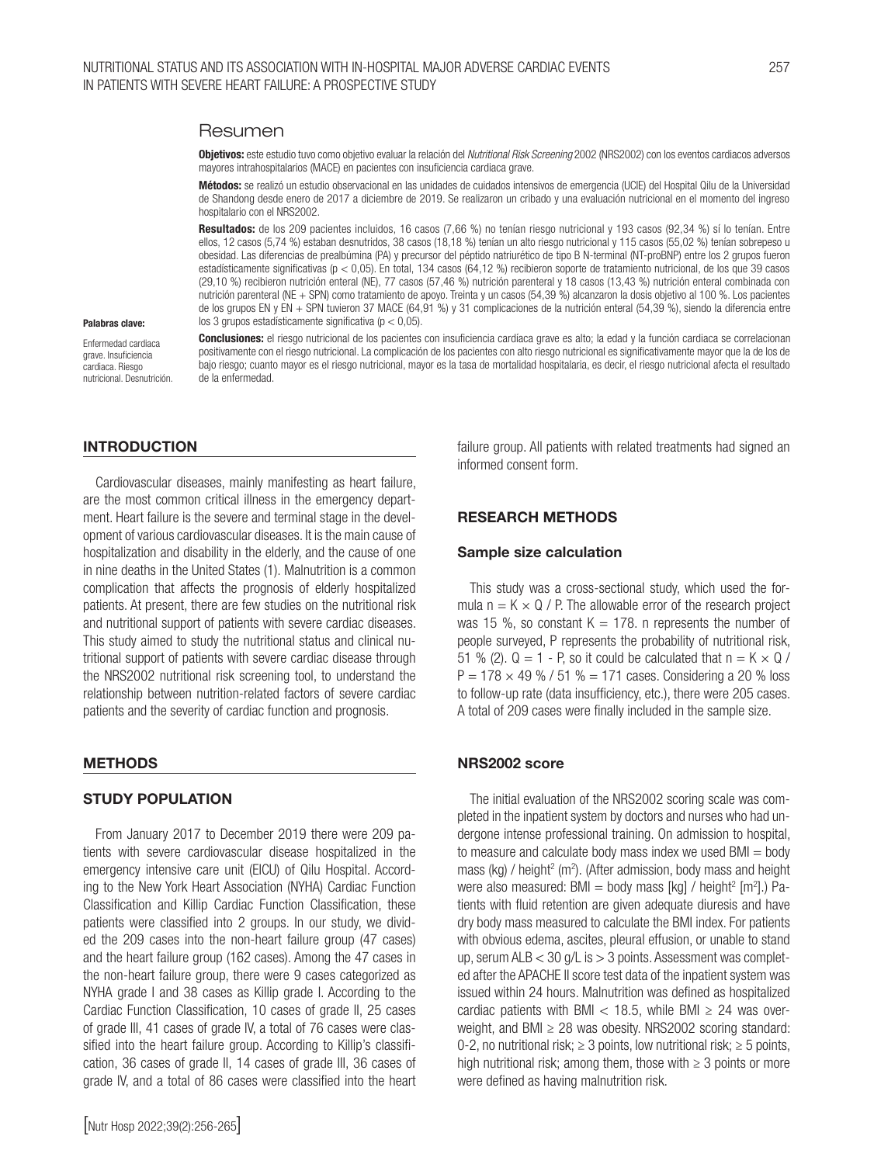#### Resumen

Objetivos: este estudio tuvo como objetivo evaluar la relación del *Nutritional Risk Screening* 2002 (NRS2002) con los eventos cardiacos adversos mayores intrahospitalarios (MACE) en pacientes con insuficiencia cardiaca grave.

Métodos: se realizó un estudio observacional en las unidades de cuidados intensivos de emergencia (UCIE) del Hospital Qilu de la Universidad de Shandong desde enero de 2017 a diciembre de 2019. Se realizaron un cribado y una evaluación nutricional en el momento del ingreso hospitalario con el NRS2002.

Resultados: de los 209 pacientes incluidos, 16 casos (7,66 %) no tenían riesgo nutricional y 193 casos (92,34 %) sí lo tenían. Entre ellos, 12 casos (5,74 %) estaban desnutridos, 38 casos (18,18 %) tenían un alto riesgo nutricional y 115 casos (55,02 %) tenían sobrepeso u obesidad. Las diferencias de prealbúmina (PA) y precursor del péptido natriurético de tipo B N-terminal (NT-proBNP) entre los 2 grupos fueron estadísticamente significativas (p < 0,05). En total, 134 casos (64,12 %) recibieron soporte de tratamiento nutricional, de los que 39 casos (29,10 %) recibieron nutrición enteral (NE), 77 casos (57,46 %) nutrición parenteral y 18 casos (13,43 %) nutrición enteral combinada con nutrición parenteral (NE + SPN) como tratamiento de apoyo. Treinta y un casos (54,39 %) alcanzaron la dosis objetivo al 100 %. Los pacientes de los grupos EN y EN + SPN tuvieron 37 MACE (64,91 %) y 31 complicaciones de la nutrición enteral (54,39 %), siendo la diferencia entre los 3 grupos estadísticamente significativa (p < 0,05).

#### Palabras clave:

Enfermedad cardiaca grave. Insuficiencia cardiaca. Riesgo nutricional. Desnutrición. Conclusiones: el riesgo nutricional de los pacientes con insuficiencia cardíaca grave es alto; la edad y la función cardiaca se correlacionan positivamente con el riesgo nutricional. La complicación de los pacientes con alto riesgo nutricional es significativamente mayor que la de los de bajo riesgo; cuanto mayor es el riesgo nutricional, mayor es la tasa de mortalidad hospitalaria, es decir, el riesgo nutricional afecta el resultado de la enfermedad.

#### INTRODUCTION

Cardiovascular diseases, mainly manifesting as heart failure, are the most common critical illness in the emergency department. Heart failure is the severe and terminal stage in the development of various cardiovascular diseases. It is the main cause of hospitalization and disability in the elderly, and the cause of one in nine deaths in the United States (1). Malnutrition is a common complication that affects the prognosis of elderly hospitalized patients. At present, there are few studies on the nutritional risk and nutritional support of patients with severe cardiac diseases. This study aimed to study the nutritional status and clinical nutritional support of patients with severe cardiac disease through the NRS2002 nutritional risk screening tool, to understand the relationship between nutrition-related factors of severe cardiac patients and the severity of cardiac function and prognosis.

#### METHODS

#### STUDY POPULATION

From January 2017 to December 2019 there were 209 patients with severe cardiovascular disease hospitalized in the emergency intensive care unit (EICU) of Qilu Hospital. According to the New York Heart Association (NYHA) Cardiac Function Classification and Killip Cardiac Function Classification, these patients were classified into 2 groups. In our study, we divided the 209 cases into the non-heart failure group (47 cases) and the heart failure group (162 cases). Among the 47 cases in the non-heart failure group, there were 9 cases categorized as NYHA grade I and 38 cases as Killip grade I. According to the Cardiac Function Classification, 10 cases of grade II, 25 cases of grade III, 41 cases of grade IV, a total of 76 cases were classified into the heart failure group. According to Killip's classification, 36 cases of grade II, 14 cases of grade III, 36 cases of grade IV, and a total of 86 cases were classified into the heart

failure group. All patients with related treatments had signed an informed consent form.

#### RESEARCH METHODS

#### Sample size calculation

This study was a cross-sectional study, which used the formula  $n = K \times Q$  / P. The allowable error of the research project was 15 %, so constant  $K = 178$ . n represents the number of people surveyed, P represents the probability of nutritional risk, 51 % (2).  $Q = 1 - P$ , so it could be calculated that  $n = K \times Q$  /  $P = 178 \times 49 \%$  / 51 % = 171 cases. Considering a 20 % loss to follow-up rate (data insufficiency, etc.), there were 205 cases. A total of 209 cases were finally included in the sample size.

#### NRS2002 score

The initial evaluation of the NRS2002 scoring scale was completed in the inpatient system by doctors and nurses who had undergone intense professional training. On admission to hospital, to measure and calculate body mass index we used  $BMI = body$ mass (kg) / height<sup>2</sup> (m<sup>2</sup>). (After admission, body mass and height were also measured: BMI = body mass [kg] / height<sup>2</sup> [m<sup>2</sup>].) Patients with fluid retention are given adequate diuresis and have dry body mass measured to calculate the BMI index. For patients with obvious edema, ascites, pleural effusion, or unable to stand up, serum ALB  $<$  30 g/L is  $>$  3 points. Assessment was completed after the APACHE II score test data of the inpatient system was issued within 24 hours. Malnutrition was defined as hospitalized cardiac patients with BMI  $<$  18.5, while BMI  $\ge$  24 was overweight, and BMI  $\geq$  28 was obesity. NRS2002 scoring standard: 0-2, no nutritional risk;  $\geq$  3 points, low nutritional risk;  $\geq$  5 points, high nutritional risk; among them, those with  $\geq 3$  points or more were defined as having malnutrition risk.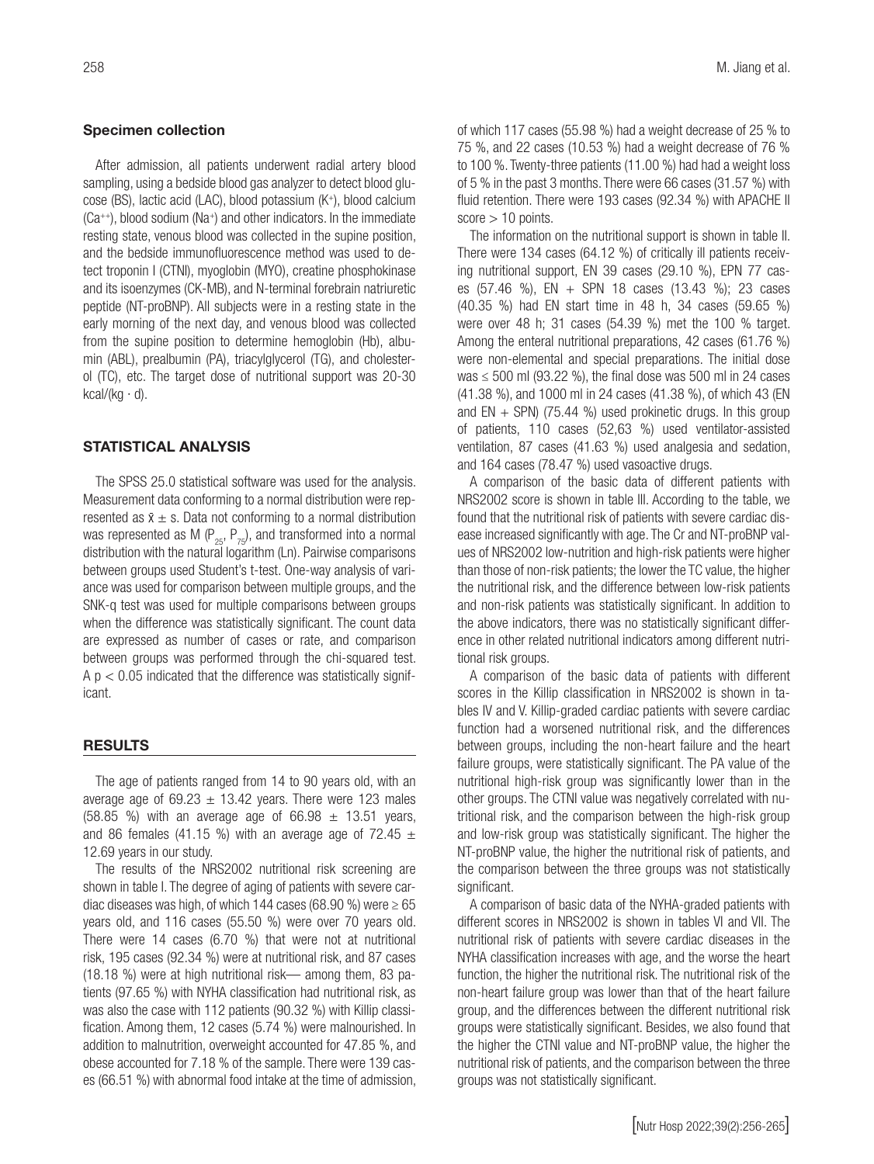#### Specimen collection

After admission, all patients underwent radial artery blood sampling, using a bedside blood gas analyzer to detect blood glucose (BS), lactic acid (LAC), blood potassium (K+), blood calcium  $(Ca^{++})$ , blood sodium (Na<sup>+</sup>) and other indicators. In the immediate resting state, venous blood was collected in the supine position, and the bedside immunofluorescence method was used to detect troponin I (CTNI), myoglobin (MYO), creatine phosphokinase and its isoenzymes (CK-MB), and N-terminal forebrain natriuretic peptide (NT-proBNP). All subjects were in a resting state in the early morning of the next day, and venous blood was collected from the supine position to determine hemoglobin (Hb), albumin (ABL), prealbumin (PA), triacylglycerol (TG), and cholesterol (TC), etc. The target dose of nutritional support was 20-30 kcal/(kg  $\cdot$  d).

#### STATISTICAL ANALYSIS

The SPSS 25.0 statistical software was used for the analysis. Measurement data conforming to a normal distribution were represented as  $\bar{x} \pm s$ . Data not conforming to a normal distribution was represented as M ( $P_{25}$ ,  $P_{75}$ ), and transformed into a normal distribution with the natural logarithm (Ln). Pairwise comparisons between groups used Student's t-test. One-way analysis of variance was used for comparison between multiple groups, and the SNK-q test was used for multiple comparisons between groups when the difference was statistically significant. The count data are expressed as number of cases or rate, and comparison between groups was performed through the chi-squared test.  $A$  p  $<$  0.05 indicated that the difference was statistically significant.

#### RESULTS

The age of patients ranged from 14 to 90 years old, with an average age of  $69.23 \pm 13.42$  years. There were 123 males (58.85 %) with an average age of  $66.98 \pm 13.51$  years, and 86 females (41.15 %) with an average age of  $72.45 \pm$ 12.69 years in our study.

The results of the NRS2002 nutritional risk screening are shown in table I. The degree of aging of patients with severe cardiac diseases was high, of which 144 cases (68.90 %) were  $\geq 65$ years old, and 116 cases (55.50 %) were over 70 years old. There were 14 cases (6.70 %) that were not at nutritional risk, 195 cases (92.34 %) were at nutritional risk, and 87 cases (18.18 %) were at high nutritional risk— among them, 83 patients (97.65 %) with NYHA classification had nutritional risk, as was also the case with 112 patients (90.32 %) with Killip classification. Among them, 12 cases (5.74 %) were malnourished. In addition to malnutrition, overweight accounted for 47.85 %, and obese accounted for 7.18 % of the sample. There were 139 cases (66.51 %) with abnormal food intake at the time of admission, of which 117 cases (55.98 %) had a weight decrease of 25 % to 75 %, and 22 cases (10.53 %) had a weight decrease of 76 % to 100 %. Twenty-three patients (11.00 %) had had a weight loss of 5 % in the past 3 months. There were 66 cases (31.57 %) with fluid retention. There were 193 cases (92.34 %) with APACHE II  $score > 10$  points.

The information on the nutritional support is shown in table II. There were 134 cases (64.12 %) of critically ill patients receiving nutritional support, EN 39 cases (29.10 %), EPN 77 cases (57.46 %), EN + SPN 18 cases (13.43 %); 23 cases (40.35 %) had EN start time in 48 h, 34 cases (59.65 %) were over 48 h; 31 cases (54.39 %) met the 100 % target. Among the enteral nutritional preparations, 42 cases (61.76 %) were non-elemental and special preparations. The initial dose was  $\leq$  500 ml (93.22 %), the final dose was 500 ml in 24 cases (41.38 %), and 1000 ml in 24 cases (41.38 %), of which 43 (EN and  $EN + SPN$  (75.44 %) used prokinetic drugs. In this group of patients, 110 cases (52,63 %) used ventilator-assisted ventilation, 87 cases (41.63 %) used analgesia and sedation, and 164 cases (78.47 %) used vasoactive drugs.

A comparison of the basic data of different patients with NRS2002 score is shown in table III. According to the table, we found that the nutritional risk of patients with severe cardiac disease increased significantly with age. The Cr and NT-proBNP values of NRS2002 low-nutrition and high-risk patients were higher than those of non-risk patients; the lower the TC value, the higher the nutritional risk, and the difference between low-risk patients and non-risk patients was statistically significant. In addition to the above indicators, there was no statistically significant difference in other related nutritional indicators among different nutritional risk groups.

A comparison of the basic data of patients with different scores in the Killip classification in NRS2002 is shown in tables IV and V. Killip-graded cardiac patients with severe cardiac function had a worsened nutritional risk, and the differences between groups, including the non-heart failure and the heart failure groups, were statistically significant. The PA value of the nutritional high-risk group was significantly lower than in the other groups. The CTNI value was negatively correlated with nutritional risk, and the comparison between the high-risk group and low-risk group was statistically significant. The higher the NT-proBNP value, the higher the nutritional risk of patients, and the comparison between the three groups was not statistically significant.

A comparison of basic data of the NYHA-graded patients with different scores in NRS2002 is shown in tables VI and VII. The nutritional risk of patients with severe cardiac diseases in the NYHA classification increases with age, and the worse the heart function, the higher the nutritional risk. The nutritional risk of the non-heart failure group was lower than that of the heart failure group, and the differences between the different nutritional risk groups were statistically significant. Besides, we also found that the higher the CTNI value and NT-proBNP value, the higher the nutritional risk of patients, and the comparison between the three groups was not statistically significant.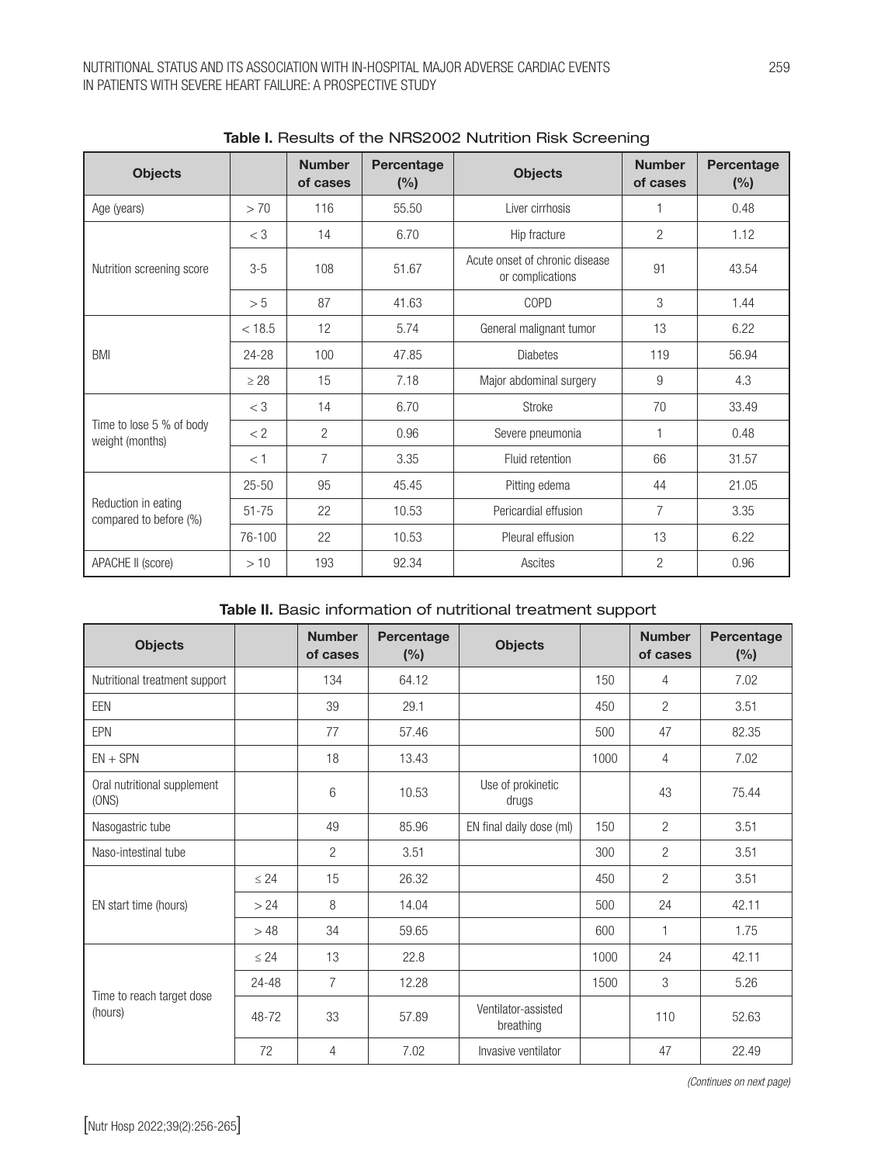| <b>Objects</b>                                |           | <b>Number</b><br>of cases | Percentage<br>(% ) | <b>Objects</b>                                     | <b>Number</b><br>of cases | Percentage<br>(%) |
|-----------------------------------------------|-----------|---------------------------|--------------------|----------------------------------------------------|---------------------------|-------------------|
| Age (years)                                   | > 70      | 116                       | 55.50              | Liver cirrhosis                                    |                           | 0.48              |
|                                               | $<$ 3     | 14                        | 6.70               | Hip fracture                                       | $\overline{2}$            | 1.12              |
| Nutrition screening score                     | $3-5$     | 108                       | 51.67              | Acute onset of chronic disease<br>or complications | 91                        | 43.54             |
|                                               | > 5       | 87                        | 41.63              | <b>COPD</b>                                        | 3                         | 1.44              |
|                                               | < 18.5    | 12                        | 5.74               | General malignant tumor                            | 13                        | 6.22              |
| <b>BMI</b>                                    | 24-28     | 100                       | 47.85              | <b>Diabetes</b>                                    | 119                       | 56.94             |
|                                               | $\geq 28$ | 15                        | 7.18               | Major abdominal surgery                            | 9                         | 4.3               |
|                                               | $<$ 3     | 14                        | 6.70               | Stroke                                             | 70                        | 33.49             |
| Time to lose 5 % of body<br>weight (months)   | < 2       | 2                         | 0.96               | Severe pneumonia                                   |                           | 0.48              |
|                                               | < 1       | $\overline{7}$            | 3.35               | Fluid retention                                    | 66                        | 31.57             |
|                                               | $25 - 50$ | 95                        | 45.45              | Pitting edema                                      | 44                        | 21.05             |
| Reduction in eating<br>compared to before (%) | $51 - 75$ | 22                        | 10.53              | Pericardial effusion                               | $\overline{7}$            | 3.35              |
|                                               | 76-100    | 22                        | 10.53              | Pleural effusion                                   | 13                        | 6.22              |
| APACHE II (score)                             | >10       | 193                       | 92.34              | Ascites                                            | $\overline{2}$            | 0.96              |

| Table I. Results of the NRS2002 Nutrition Risk Screening |  |  |  |  |
|----------------------------------------------------------|--|--|--|--|
|----------------------------------------------------------|--|--|--|--|

# Table II. Basic information of nutritional treatment support

| <b>Objects</b>                       |           | <b>Number</b><br>of cases | Percentage<br>(%) | <b>Objects</b>                   |      | <b>Number</b><br>of cases | Percentage<br>(%) |
|--------------------------------------|-----------|---------------------------|-------------------|----------------------------------|------|---------------------------|-------------------|
| Nutritional treatment support        |           | 134                       | 64.12             |                                  | 150  | 4                         | 7.02              |
| <b>EEN</b>                           |           | 39                        | 29.1              |                                  | 450  | $\overline{2}$            | 3.51              |
| EPN                                  |           | 77                        | 57.46             |                                  | 500  | 47                        | 82.35             |
| $EN + SPN$                           |           | 18                        | 13.43             |                                  | 1000 | 4                         | 7.02              |
| Oral nutritional supplement<br>(ONS) |           | 6                         | 10.53             | Use of prokinetic<br>drugs       |      | 43                        | 75.44             |
| Nasogastric tube                     |           | 49                        | 85.96             | EN final daily dose (ml)         | 150  | $\overline{2}$            | 3.51              |
| Naso-intestinal tube                 |           | $\overline{2}$            | 3.51              |                                  | 300  | $\overline{2}$            | 3.51              |
|                                      | $\leq 24$ | 15                        | 26.32             |                                  | 450  | $\overline{2}$            | 3.51              |
| EN start time (hours)                | > 24      | 8                         | 14.04             |                                  | 500  | 24                        | 42.11             |
|                                      | >48       | 34                        | 59.65             |                                  | 600  | 1                         | 1.75              |
|                                      | $\leq 24$ | 13                        | 22.8              |                                  | 1000 | 24                        | 42.11             |
|                                      | 24-48     | $\overline{7}$            | 12.28             |                                  | 1500 | 3                         | 5.26              |
| Time to reach target dose<br>(hours) | 48-72     | 33                        | 57.89             | Ventilator-assisted<br>breathing |      | 110                       | 52.63             |
|                                      | 72        | 4                         | 7.02              | Invasive ventilator              |      | 47                        | 22.49             |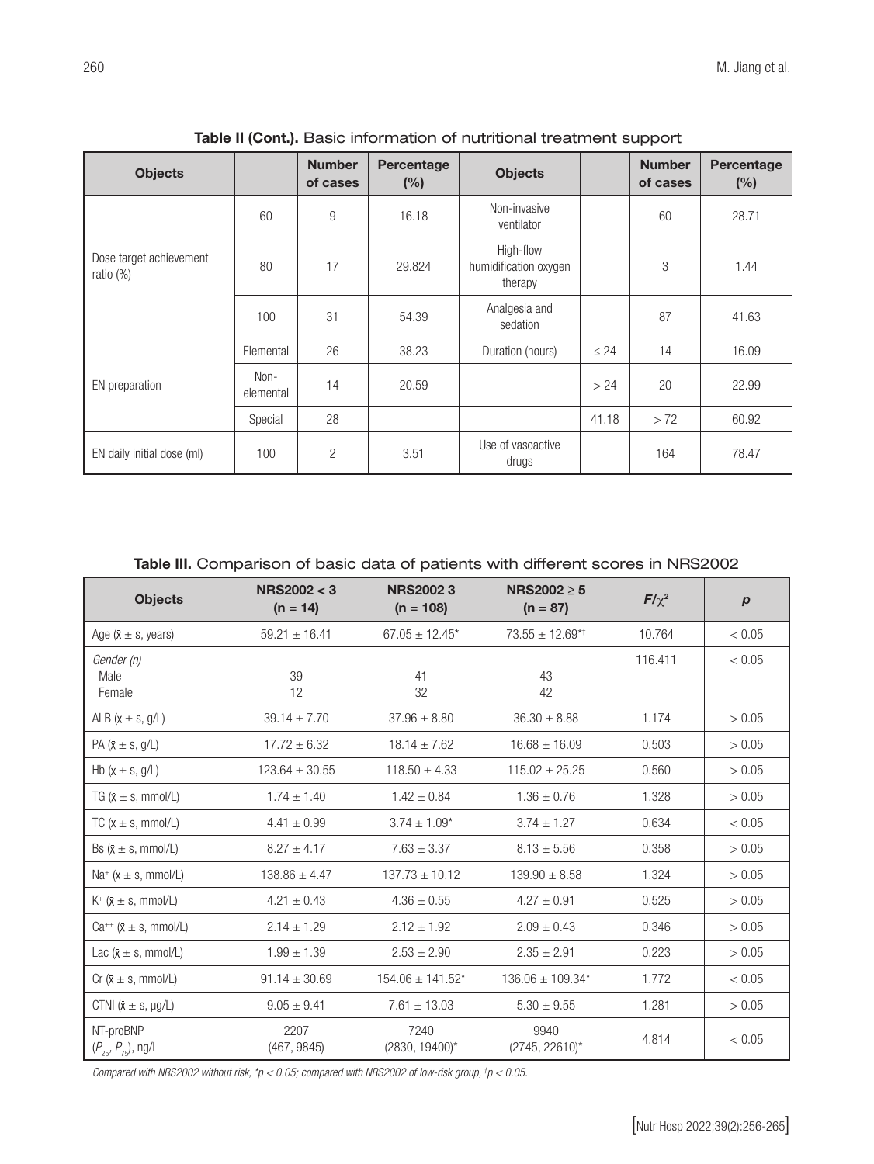| <b>Objects</b>                          |                   | <b>Number</b><br>of cases | Percentage<br>(%) | <b>Objects</b>                                |           | <b>Number</b><br>of cases | Percentage<br>(%) |
|-----------------------------------------|-------------------|---------------------------|-------------------|-----------------------------------------------|-----------|---------------------------|-------------------|
|                                         | 60                | 9                         | 16.18             | Non-invasive<br>ventilator                    |           | 60                        | 28.71             |
| Dose target achievement<br>ratio $(\%)$ | 80                | 17                        | 29.824            | High-flow<br>humidification oxygen<br>therapy |           | 3                         | 1.44              |
|                                         | 100               | 31                        | 54.39             | Analgesia and<br>sedation                     |           | 87                        | 41.63             |
|                                         | Elemental         | 26                        | 38.23             | Duration (hours)                              | $\leq 24$ | 14                        | 16.09             |
| EN preparation                          | Non-<br>elemental | 14                        | 20.59             |                                               | > 24      | 20                        | 22.99             |
|                                         | Special           | 28                        |                   |                                               | 41.18     | > 72                      | 60.92             |
| EN daily initial dose (ml)              | 100               | $\overline{2}$            | 3.51              | Use of vasoactive<br>drugs                    |           | 164                       | 78.47             |

Table II (Cont.). Basic information of nutritional treatment support

Table III. Comparison of basic data of patients with different scores in NRS2002

| <b>Objects</b>                             | NRS2002 < 3<br>$(n = 14)$ | <b>NRS20023</b><br>$(n = 108)$ | NRS2002 > 5<br>$(n = 87)$       | $F/\chi^2$ | $\boldsymbol{p}$ |
|--------------------------------------------|---------------------------|--------------------------------|---------------------------------|------------|------------------|
| Age $(X \pm s, \text{ years})$             | $59.21 \pm 16.41$         | $67.05 \pm 12.45^*$            | $73.55 \pm 12.69$ <sup>*†</sup> | 10.764     | < 0.05           |
| Gender (n)<br>Male<br>Female               | 39<br>12                  | 41<br>32                       | 43<br>42                        | 116.411    | < 0.05           |
| ALB ( $\bar{x} \pm s$ , g/L)               | $39.14 \pm 7.70$          | $37.96 \pm 8.80$               | $36.30 \pm 8.88$                | 1.174      | > 0.05           |
| PA ( $\bar{x} \pm s$ , g/L)                | $17.72 \pm 6.32$          | $18.14 \pm 7.62$               | $16.68 \pm 16.09$               | 0.503      | > 0.05           |
| Hb ( $\bar{x} \pm s$ , g/L)                | $123.64 \pm 30.55$        | $118.50 \pm 4.33$              | $115.02 \pm 25.25$              | 0.560      | > 0.05           |
| TG ( $x \pm s$ , mmol/L)                   | $1.74 \pm 1.40$           | $1.42 \pm 0.84$                | $1.36 \pm 0.76$                 | 1.328      | > 0.05           |
| TC $(X \pm s, \text{mmol/L})$              | $4.41 \pm 0.99$           | $3.74 \pm 1.09*$               | $3.74 \pm 1.27$                 | 0.634      | < 0.05           |
| Bs $(x \pm s$ , mmol/L)                    | $8.27 \pm 4.17$           | $7.63 \pm 3.37$                | $8.13 \pm 5.56$                 | 0.358      | > 0.05           |
| Na <sup>+</sup> $(x \pm s, \text{mmol/L})$ | $138.86 \pm 4.47$         | $137.73 \pm 10.12$             | $139.90 \pm 8.58$               | 1.324      | > 0.05           |
| $K^+$ ( $\bar{x} \pm s$ , mmol/L)          | $4.21 \pm 0.43$           | $4.36 \pm 0.55$                | $4.27 \pm 0.91$                 | 0.525      | > 0.05           |
| $Ca^{++}$ ( $\bar{x} \pm s$ , mmol/L)      | $2.14 \pm 1.29$           | $2.12 \pm 1.92$                | $2.09 \pm 0.43$                 | 0.346      | > 0.05           |
| Lac $(x \pm s, \text{mmol/L})$             | $1.99 \pm 1.39$           | $2.53 \pm 2.90$                | $2.35 \pm 2.91$                 | 0.223      | > 0.05           |
| Cr $(\bar{x} \pm s, \text{mmol/L})$        | $91.14 \pm 30.69$         | $154.06 \pm 141.52$ *          | $136.06 \pm 109.34*$            | 1.772      | < 0.05           |
| CTNI $(X \pm s, \mu g/L)$                  | $9.05 \pm 9.41$           | $7.61 \pm 13.03$               | $5.30 \pm 9.55$                 | 1.281      | > 0.05           |
| NT-proBNP<br>$(P_{25}, P_{75})$ , ng/L     | 2207<br>(467, 9845)       | 7240<br>$(2830, 19400)^*$      | 9940<br>$(2745, 22610)^*$       | 4.814      | < 0.05           |

*Compared with NRS2002 without risk, \*p < 0.05; compared with NRS2002 of low-risk group, † p < 0.05.*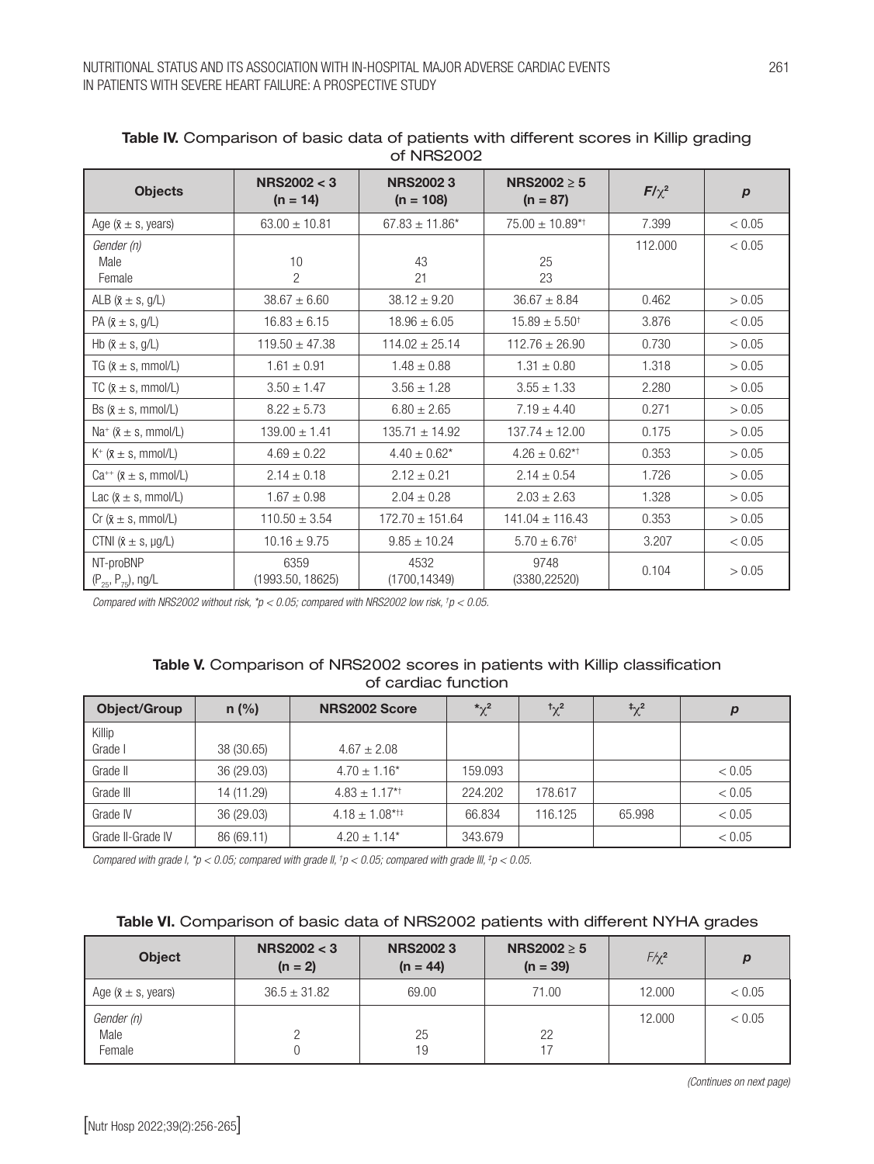| <b>Objects</b>                             | NRS2002 < 3<br>$(n = 14)$ | <b>NRS20023</b><br>$(n = 108)$ | <b>NRS2002 <math>\geq</math> 5</b><br>$(n = 87)$ | $F/\chi^2$ | $\boldsymbol{p}$ |
|--------------------------------------------|---------------------------|--------------------------------|--------------------------------------------------|------------|------------------|
| Age $(x \pm s, \text{ years})$             | $63.00 \pm 10.81$         | $67.83 \pm 11.86^*$            | $75.00 \pm 10.89^{*+}$                           | 7.399      | < 0.05           |
| Gender (n)<br>Male<br>Female               | 10<br>2                   | 43<br>21                       | 25<br>23                                         | 112.000    | < 0.05           |
| ALB ( $\bar{x} \pm s$ , g/L)               | $38.67 \pm 6.60$          | $38.12 \pm 9.20$               | $36.67 \pm 8.84$                                 | 0.462      | > 0.05           |
| PA ( $\bar{x} \pm s$ , g/L)                | $16.83 \pm 6.15$          | $18.96 \pm 6.05$               | $15.89 \pm 5.50^{\dagger}$                       | 3.876      | < 0.05           |
| Hb ( $\bar{x} \pm s$ , g/L)                | $119.50 \pm 47.38$        | $114.02 \pm 25.14$             | $112.76 \pm 26.90$                               | 0.730      | > 0.05           |
| TG ( $\bar{x} \pm s$ , mmol/L)             | $1.61 \pm 0.91$           | $1.48 \pm 0.88$                | $1.31 \pm 0.80$                                  | 1.318      | > 0.05           |
| TC $(X \pm s, \text{mmol/L})$              | $3.50 \pm 1.47$           | $3.56 \pm 1.28$                | $3.55 \pm 1.33$                                  | 2.280      | > 0.05           |
| Bs $(x \pm s, \text{mmol/L})$              | $8.22 \pm 5.73$           | $6.80 \pm 2.65$                | $7.19 \pm 4.40$                                  | 0.271      | > 0.05           |
| Na <sup>+</sup> $(x \pm s, \text{mmol/L})$ | $139.00 \pm 1.41$         | $135.71 \pm 14.92$             | $137.74 \pm 12.00$                               | 0.175      | > 0.05           |
| $K^+$ ( $x \pm s$ , mmol/L)                | $4.69 \pm 0.22$           | $4.40 \pm 0.62$ *              | $4.26 \pm 0.62$ *†                               | 0.353      | > 0.05           |
| $Ca^{++}$ ( $\bar{x} \pm s$ , mmol/L)      | $2.14 \pm 0.18$           | $2.12 \pm 0.21$                | $2.14 \pm 0.54$                                  | 1.726      | > 0.05           |
| Lac $(\bar{x} \pm s, \text{mmol/L})$       | $1.67 \pm 0.98$           | $2.04 \pm 0.28$                | $2.03 \pm 2.63$                                  | 1.328      | > 0.05           |
| Cr $(\bar{x} \pm s, \text{mmol/L})$        | $110.50 \pm 3.54$         | $172.70 \pm 151.64$            | $141.04 \pm 116.43$                              | 0.353      | > 0.05           |
| CTNI $(x \pm s, \mu g/L)$                  | $10.16 \pm 9.75$          | $9.85 \pm 10.24$               | $5.70 \pm 6.76^{\dagger}$                        | 3.207      | < 0.05           |
| NT-proBNP<br>$(P_{25}, P_{75})$ , ng/L     | 6359<br>(1993.50, 18625)  | 4532<br>(1700, 14349)          | 9748<br>(3380, 22520)                            | 0.104      | > 0.05           |

### Table IV. Comparison of basic data of patients with different scores in Killip grading of NRS2002

*Compared with NRS2002 without risk, \*p < 0.05; compared with NRS2002 low risk, † p < 0.05.*

# Table V. Comparison of NRS2002 scores in patients with Killip classification of cardiac function

| <b>Object/Group</b> | $n$ (%)    | NRS2002 Score                 | $\boldsymbol{\chi}^2$ | $\sqrt[4]{x^2}$ | $\sqrt[4]{2}$ | р      |
|---------------------|------------|-------------------------------|-----------------------|-----------------|---------------|--------|
| Killip              |            |                               |                       |                 |               |        |
| Grade I             | 38 (30.65) | $4.67 \pm 2.08$               |                       |                 |               |        |
| Grade II            | 36 (29.03) | $4.70 \pm 1.16^*$             | 159.093               |                 |               | < 0.05 |
| Grade III           | 14 (11.29) | $4.83 \pm 1.17$ <sup>*†</sup> | 224.202               | 178.617         |               | < 0.05 |
| Grade IV            | 36 (29.03) | $4.18 \pm 1.08^{*+1}$         | 66.834                | 116.125         | 65.998        | < 0.05 |
| Grade II-Grade IV   | 86 (69.11) | $4.20 \pm 1.14^*$             | 343.679               |                 |               | < 0.05 |

*Compared with grade I, \*p < 0.05; compared with grade II, † p < 0.05; compared with grade III, ‡ p < 0.05.*

## Table VI. Comparison of basic data of NRS2002 patients with different NYHA grades

| <b>Object</b>                  | NRS2002 < 3<br>$(n = 2)$ | <b>NRS20023</b><br>$(n = 44)$ | NRS2002 $\geq$ 5<br>$(n = 39)$ | $F / \chi^2$ | $\boldsymbol{p}$ |
|--------------------------------|--------------------------|-------------------------------|--------------------------------|--------------|------------------|
| Age $(x \pm s, \text{ years})$ | $36.5 \pm 31.82$         | 69.00                         | 71.00                          | 12,000       | < 0.05           |
| Gender (n)<br>Male<br>Female   |                          | 25<br>19                      | 22                             | 12,000       | < 0.05           |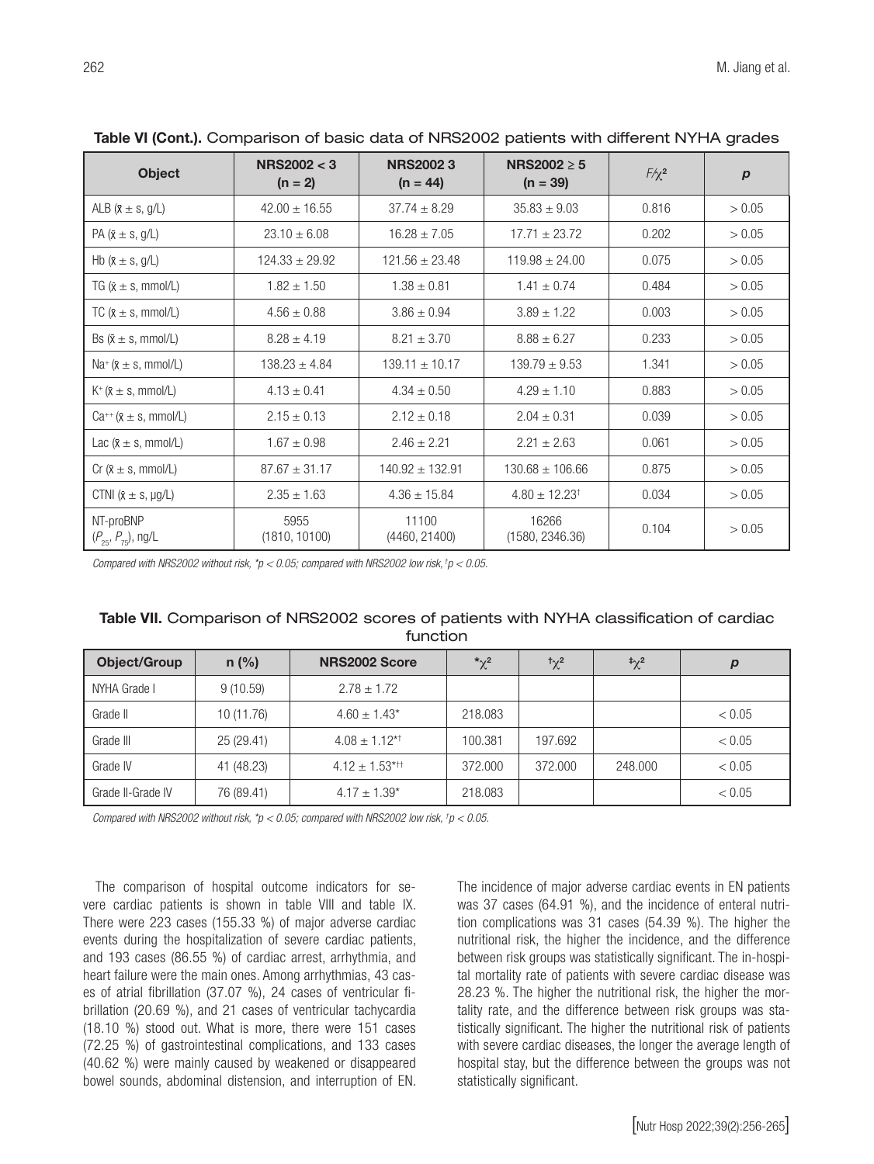| <b>Object</b>                          | <b>NRS2002 &lt; 3</b><br>$(n = 2)$ | <b>NRS20023</b><br>$(n = 44)$ | NRS2002 $\geq$ 5<br>$(n = 39)$ | $F / \chi^2$ | $\boldsymbol{p}$ |
|----------------------------------------|------------------------------------|-------------------------------|--------------------------------|--------------|------------------|
| ALB ( $x \pm s$ , g/L)                 | $42.00 \pm 16.55$                  | $37.74 \pm 8.29$              | $35.83 \pm 9.03$               | 0.816        | > 0.05           |
| PA ( $\bar{x} \pm s$ , g/L)            | $23.10 \pm 6.08$                   | $16.28 \pm 7.05$              | $17.71 \pm 23.72$              | 0.202        | > 0.05           |
| Hb ( $\bar{x} \pm s$ , g/L)            | $124.33 \pm 29.92$                 | $121.56 \pm 23.48$            | $119.98 \pm 24.00$             | 0.075        | > 0.05           |
| TG ( $x \pm s$ , mmol/L)               | $1.82 \pm 1.50$                    | $1.38 \pm 0.81$               | $1.41 \pm 0.74$                | 0.484        | > 0.05           |
| TC $(X \pm s, \text{mmol/L})$          | $4.56 \pm 0.88$                    | $3.86 \pm 0.94$               | $3.89 \pm 1.22$                | 0.003        | > 0.05           |
| Bs $(x \pm s, \text{mmol/L})$          | $8.28 \pm 4.19$                    | $8.21 \pm 3.70$               | $8.88 \pm 6.27$                | 0.233        | > 0.05           |
| $Na^{+}(x \pm s, mmol/L)$              | $138.23 \pm 4.84$                  | $139.11 \pm 10.17$            | $139.79 \pm 9.53$              | 1.341        | > 0.05           |
| $K^+(\bar{x} \pm s, \text{mmol/L})$    | $4.13 \pm 0.41$                    | $4.34 \pm 0.50$               | $4.29 \pm 1.10$                | 0.883        | > 0.05           |
| $Ca^{++}$ ( $x \pm s$ , mmol/L)        | $2.15 \pm 0.13$                    | $2.12 \pm 0.18$               | $2.04 \pm 0.31$                | 0.039        | > 0.05           |
| Lac $(\bar{x} \pm s, \text{mmol/L})$   | $1.67 \pm 0.98$                    | $2.46 \pm 2.21$               | $2.21 \pm 2.63$                | 0.061        | > 0.05           |
| Cr ( $\bar{x} \pm s$ , mmol/L)         | $87.67 \pm 31.17$                  | $140.92 \pm 132.91$           | $130.68 \pm 106.66$            | 0.875        | > 0.05           |
| CTNI $(\bar{x} \pm s, \mu g/L)$        | $2.35 \pm 1.63$                    | $4.36 \pm 15.84$              | $4.80 \pm 12.23^{\dagger}$     | 0.034        | > 0.05           |
| NT-proBNP<br>$(P_{25}, P_{75})$ , ng/L | 5955<br>(1810, 10100)              | 11100<br>(4460, 21400)        | 16266<br>(1580, 2346.36)       | 0.104        | > 0.05           |

Table VI (Cont.). Comparison of basic data of NRS2002 patients with different NYHA grades

*Compared with NRS2002 without risk, \*p < 0.05; compared with NRS2002 low risk, †p < 0.05.*

### Table VII. Comparison of NRS2002 scores of patients with NYHA classification of cardiac function

| <b>Object/Group</b> | $n$ (%)    | NRS2002 Score                  | $\mathbf{r}^2$ | $t_{\gamma}$ <sup>2</sup> | $\sqrt[4]{2}$ | D      |
|---------------------|------------|--------------------------------|----------------|---------------------------|---------------|--------|
| NYHA Grade I        | 9(10.59)   | $2.78 \pm 1.72$                |                |                           |               |        |
| Grade II            | 10 (11.76) | $4.60 \pm 1.43^*$              | 218,083        |                           |               | < 0.05 |
| Grade III           | 25 (29.41) | $4.08 \pm 1.12^{*+}$           | 100.381        | 197.692                   |               | < 0.05 |
| Grade IV            | 41 (48.23) | $4.12 \pm 1.53$ <sup>*††</sup> | 372,000        | 372,000                   | 248,000       | < 0.05 |
| Grade II-Grade IV   | 76 (89.41) | $4.17 \pm 1.39^*$              | 218,083        |                           |               | < 0.05 |

*Compared with NRS2002 without risk, \*p < 0.05; compared with NRS2002 low risk, † p < 0.05.*

The comparison of hospital outcome indicators for severe cardiac patients is shown in table VIII and table IX. There were 223 cases (155.33 %) of major adverse cardiac events during the hospitalization of severe cardiac patients, and 193 cases (86.55 %) of cardiac arrest, arrhythmia, and heart failure were the main ones. Among arrhythmias, 43 cases of atrial fibrillation (37.07 %), 24 cases of ventricular fibrillation (20.69 %), and 21 cases of ventricular tachycardia (18.10 %) stood out. What is more, there were 151 cases (72.25 %) of gastrointestinal complications, and 133 cases (40.62 %) were mainly caused by weakened or disappeared bowel sounds, abdominal distension, and interruption of EN. The incidence of major adverse cardiac events in EN patients was 37 cases (64.91 %), and the incidence of enteral nutrition complications was 31 cases (54.39 %). The higher the nutritional risk, the higher the incidence, and the difference between risk groups was statistically significant. The in-hospital mortality rate of patients with severe cardiac disease was 28.23 %. The higher the nutritional risk, the higher the mortality rate, and the difference between risk groups was statistically significant. The higher the nutritional risk of patients with severe cardiac diseases, the longer the average length of hospital stay, but the difference between the groups was not statistically significant.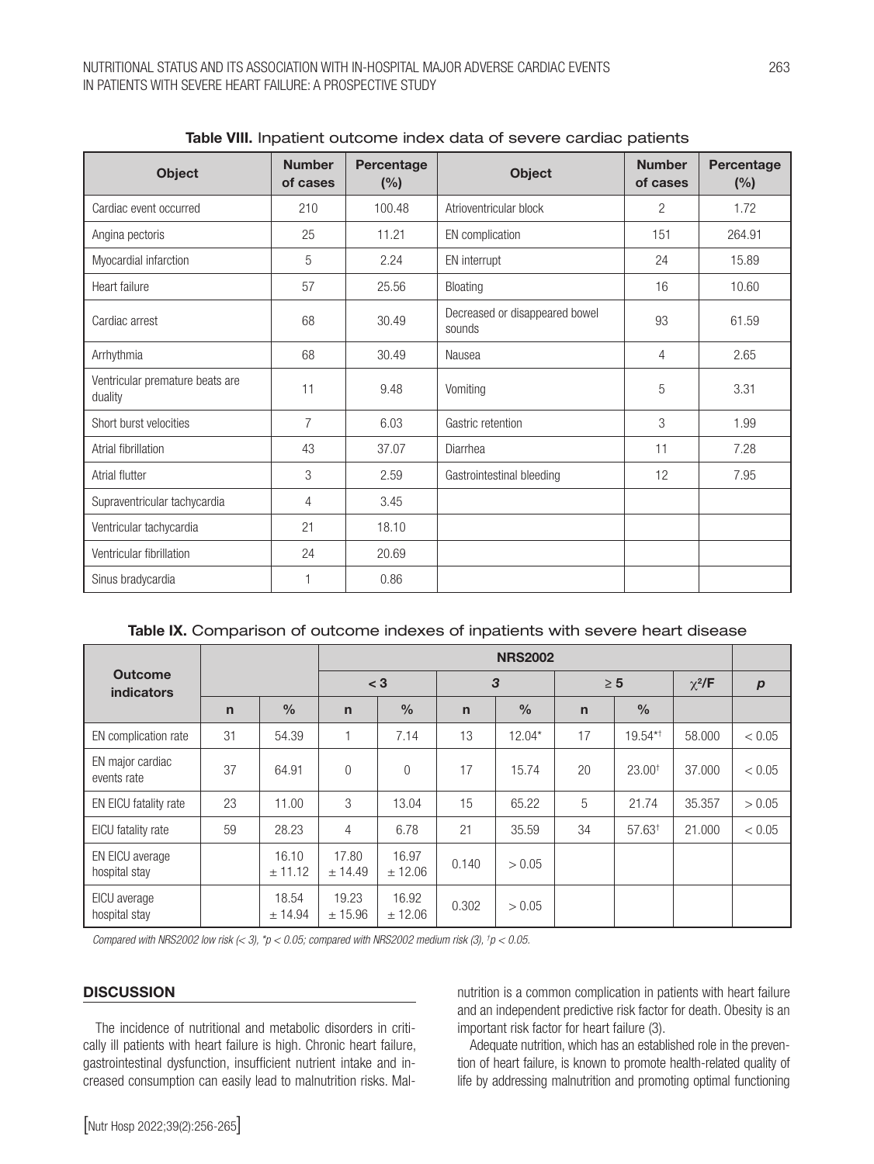| <b>Object</b>                              | <b>Number</b><br>of cases | Percentage<br>(%) | <b>Object</b>                            | <b>Number</b><br>of cases | Percentage<br>(%) |
|--------------------------------------------|---------------------------|-------------------|------------------------------------------|---------------------------|-------------------|
| Cardiac event occurred                     | 210                       | 100.48            | Atrioventricular block                   | 2                         | 1.72              |
| Angina pectoris                            | 25                        | 11.21             | EN complication                          | 151                       | 264.91            |
| Myocardial infarction                      | 5                         | 2.24              | EN interrupt                             | 24                        | 15.89             |
| Heart failure                              | 57                        | 25.56             | Bloating                                 | 16                        | 10.60             |
| Cardiac arrest                             | 68                        | 30.49             | Decreased or disappeared bowel<br>sounds | 93                        | 61.59             |
| Arrhythmia                                 | 68                        | 30.49             | Nausea                                   | 4                         | 2.65              |
| Ventricular premature beats are<br>duality | 11                        | 9.48              | Vomiting                                 | 5                         | 3.31              |
| Short burst velocities                     | 7                         | 6.03              | Gastric retention                        | 3                         | 1.99              |
| Atrial fibrillation                        | 43                        | 37.07             | Diarrhea                                 | 11                        | 7.28              |
| Atrial flutter                             | 3                         | 2.59              | Gastrointestinal bleeding                | 12                        | 7.95              |
| Supraventricular tachycardia               | 4                         | 3.45              |                                          |                           |                   |
| Ventricular tachycardia                    | 21                        | 18.10             |                                          |                           |                   |
| Ventricular fibrillation                   | 24                        | 20.69             |                                          |                           |                   |
| Sinus bradycardia                          |                           | 0.86              |                                          |                           |                   |

| Table VIII. Inpatient outcome index data of severe cardiac patients |  |  |  |
|---------------------------------------------------------------------|--|--|--|
|---------------------------------------------------------------------|--|--|--|

| <b>Outcome</b><br><b>indicators</b> |              |                  | <b>NRS2002</b>   |                  |              |               |              |                      |             |                  |
|-------------------------------------|--------------|------------------|------------------|------------------|--------------|---------------|--------------|----------------------|-------------|------------------|
|                                     |              |                  | $<$ 3            |                  | 3            |               | $\geq 5$     |                      | $\chi^2$ /F | $\boldsymbol{p}$ |
|                                     | $\mathsf{n}$ | $\frac{0}{0}$    | $\mathsf{n}$     | $\frac{0}{0}$    | $\mathsf{n}$ | $\frac{0}{0}$ | $\mathsf{n}$ | $\frac{0}{0}$        |             |                  |
| EN complication rate                | 31           | 54.39            |                  | 7.14             | 13           | $12.04*$      | 17           | 19.54*†              | 58,000      | < 0.05           |
| EN major cardiac<br>events rate     | 37           | 64.91            | $\overline{0}$   | $\overline{0}$   | 17           | 15.74         | 20           | 23.00 <sup>†</sup>   | 37,000      | < 0.05           |
| EN EICU fatality rate               | 23           | 11.00            | 3                | 13.04            | 15           | 65.22         | 5            | 21.74                | 35.357      | > 0.05           |
| EICU fatality rate                  | 59           | 28.23            | 4                | 6.78             | 21           | 35.59         | 34           | $57.63$ <sup>+</sup> | 21,000      | < 0.05           |
| EN EICU average<br>hospital stay    |              | 16.10<br>± 11.12 | 17.80<br>± 14.49 | 16.97<br>± 12.06 | 0.140        | > 0.05        |              |                      |             |                  |
| EICU average<br>hospital stay       |              | 18.54<br>± 14.94 | 19.23<br>± 15.96 | 16.92<br>± 12.06 | 0.302        | > 0.05        |              |                      |             |                  |

*Compared with NRS2002 low risk (< 3), \*p < 0.05; compared with NRS2002 medium risk (3), † p < 0.05.*

#### **DISCUSSION**

The incidence of nutritional and metabolic disorders in critically ill patients with heart failure is high. Chronic heart failure, gastrointestinal dysfunction, insufficient nutrient intake and increased consumption can easily lead to malnutrition risks. Malnutrition is a common complication in patients with heart failure and an independent predictive risk factor for death. Obesity is an important risk factor for heart failure (3).

Adequate nutrition, which has an established role in the prevention of heart failure, is known to promote health-related quality of life by addressing malnutrition and promoting optimal functioning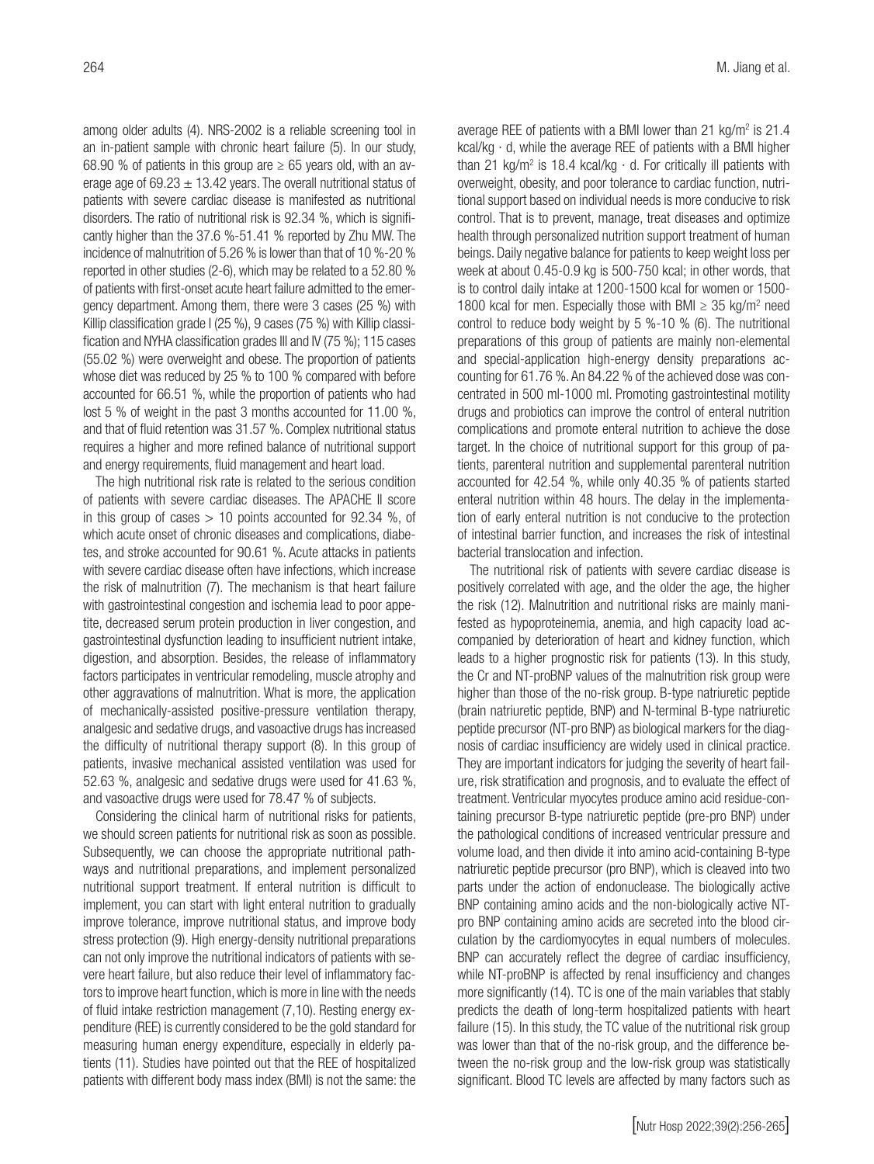among older adults (4). NRS-2002 is a reliable screening tool in an in-patient sample with chronic heart failure (5). In our study, 68.90 % of patients in this group are  $\geq$  65 years old, with an average age of 69.23  $\pm$  13.42 years. The overall nutritional status of patients with severe cardiac disease is manifested as nutritional disorders. The ratio of nutritional risk is 92.34 %, which is significantly higher than the 37.6 %-51.41 % reported by Zhu MW. The incidence of malnutrition of 5.26 % is lower than that of 10 %-20 % reported in other studies (2-6), which may be related to a 52.80 % of patients with first-onset acute heart failure admitted to the emergency department. Among them, there were 3 cases (25 %) with Killip classification grade I (25 %), 9 cases (75 %) with Killip classification and NYHA classification grades III and IV (75 %); 115 cases (55.02 %) were overweight and obese. The proportion of patients whose diet was reduced by 25 % to 100 % compared with before accounted for 66.51 %, while the proportion of patients who had lost 5 % of weight in the past 3 months accounted for 11.00 %, and that of fluid retention was 31.57 %. Complex nutritional status requires a higher and more refined balance of nutritional support and energy requirements, fluid management and heart load.

The high nutritional risk rate is related to the serious condition of patients with severe cardiac diseases. The APACHE II score in this group of cases  $> 10$  points accounted for 92.34 %, of which acute onset of chronic diseases and complications, diabetes, and stroke accounted for 90.61 %. Acute attacks in patients with severe cardiac disease often have infections, which increase the risk of malnutrition (7). The mechanism is that heart failure with gastrointestinal congestion and ischemia lead to poor appetite, decreased serum protein production in liver congestion, and gastrointestinal dysfunction leading to insufficient nutrient intake, digestion, and absorption. Besides, the release of inflammatory factors participates in ventricular remodeling, muscle atrophy and other aggravations of malnutrition. What is more, the application of mechanically-assisted positive-pressure ventilation therapy, analgesic and sedative drugs, and vasoactive drugs has increased the difficulty of nutritional therapy support (8). In this group of patients, invasive mechanical assisted ventilation was used for 52.63 %, analgesic and sedative drugs were used for 41.63 %, and vasoactive drugs were used for 78.47 % of subjects.

Considering the clinical harm of nutritional risks for patients, we should screen patients for nutritional risk as soon as possible. Subsequently, we can choose the appropriate nutritional pathways and nutritional preparations, and implement personalized nutritional support treatment. If enteral nutrition is difficult to implement, you can start with light enteral nutrition to gradually improve tolerance, improve nutritional status, and improve body stress protection (9). High energy-density nutritional preparations can not only improve the nutritional indicators of patients with severe heart failure, but also reduce their level of inflammatory factors to improve heart function, which is more in line with the needs of fluid intake restriction management (7,10). Resting energy expenditure (REE) is currently considered to be the gold standard for measuring human energy expenditure, especially in elderly patients (11). Studies have pointed out that the REE of hospitalized patients with different body mass index (BMI) is not the same: the

average REE of patients with a BMI lower than 21 kg/m<sup>2</sup> is 21.4 kcal/kg · d, while the average REE of patients with a BMI higher than 21 kg/m<sup>2</sup> is 18.4 kcal/kg  $\cdot$  d. For critically ill patients with overweight, obesity, and poor tolerance to cardiac function, nutritional support based on individual needs is more conducive to risk control. That is to prevent, manage, treat diseases and optimize health through personalized nutrition support treatment of human beings. Daily negative balance for patients to keep weight loss per week at about 0.45-0.9 kg is 500-750 kcal; in other words, that is to control daily intake at 1200-1500 kcal for women or 1500- 1800 kcal for men. Especially those with BMI  $\geq$  35 kg/m<sup>2</sup> need control to reduce body weight by 5 %-10 % (6). The nutritional preparations of this group of patients are mainly non-elemental and special-application high-energy density preparations accounting for 61.76 %. An 84.22 % of the achieved dose was concentrated in 500 ml-1000 ml. Promoting gastrointestinal motility drugs and probiotics can improve the control of enteral nutrition complications and promote enteral nutrition to achieve the dose target. In the choice of nutritional support for this group of patients, parenteral nutrition and supplemental parenteral nutrition accounted for 42.54 %, while only 40.35 % of patients started enteral nutrition within 48 hours. The delay in the implementation of early enteral nutrition is not conducive to the protection of intestinal barrier function, and increases the risk of intestinal bacterial translocation and infection.

The nutritional risk of patients with severe cardiac disease is positively correlated with age, and the older the age, the higher the risk (12). Malnutrition and nutritional risks are mainly manifested as hypoproteinemia, anemia, and high capacity load accompanied by deterioration of heart and kidney function, which leads to a higher prognostic risk for patients (13). In this study, the Cr and NT-proBNP values of the malnutrition risk group were higher than those of the no-risk group. B-type natriuretic peptide (brain natriuretic peptide, BNP) and N-terminal B-type natriuretic peptide precursor (NT-pro BNP) as biological markers for the diagnosis of cardiac insufficiency are widely used in clinical practice. They are important indicators for judging the severity of heart failure, risk stratification and prognosis, and to evaluate the effect of treatment. Ventricular myocytes produce amino acid residue-containing precursor B-type natriuretic peptide (pre-pro BNP) under the pathological conditions of increased ventricular pressure and volume load, and then divide it into amino acid-containing B-type natriuretic peptide precursor (pro BNP), which is cleaved into two parts under the action of endonuclease. The biologically active BNP containing amino acids and the non-biologically active NTpro BNP containing amino acids are secreted into the blood circulation by the cardiomyocytes in equal numbers of molecules. BNP can accurately reflect the degree of cardiac insufficiency, while NT-proBNP is affected by renal insufficiency and changes more significantly (14). TC is one of the main variables that stably predicts the death of long-term hospitalized patients with heart failure (15). In this study, the TC value of the nutritional risk group was lower than that of the no-risk group, and the difference between the no-risk group and the low-risk group was statistically significant. Blood TC levels are affected by many factors such as